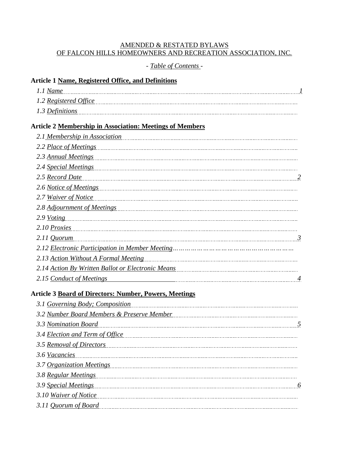## AMENDED & RESTATED BYLAWS OF FALCON HILLS HOMEOWNERS AND RECREATION ASSOCIATION, INC.

# *- Table of Contents -*

### **Article 1 Name, Registered Office, and Definitions**

| 1.1 Name              |  |
|-----------------------|--|
| 1.2 Registered Office |  |
| 1.3 Definitions       |  |

# **Article 2 Membership in Association: Meetings of Members**

| 2.1 Membership in Association                                                                                 |
|---------------------------------------------------------------------------------------------------------------|
| 2.2 Place of Meetings                                                                                         |
| 2.3 Annual Meetings                                                                                           |
| 2.4 Special Meetings                                                                                          |
| 2.5 Record Date                                                                                               |
| 2.6 Notice of Meetings                                                                                        |
| 2.7 Waiver of Notice                                                                                          |
| 2.8 Adjournment of Meetings                                                                                   |
| 2.9 Voting                                                                                                    |
| 2.10 Proxies                                                                                                  |
| $2.11$ Quorum<br>$\mathfrak{Z}$                                                                               |
|                                                                                                               |
| 2.13 Action Without A Formal Meeting                                                                          |
| 2.14 Action By Written Ballot or Electronic Means [11] [12] Action By Written Ballot or Electronic Means [12] |
| 2.15 Conduct of Meetings                                                                                      |

# **Article 3 Board of Directors: Number, Powers, Meetings**

| 3.2 Number Board Members & Preserve Member [11] [12] Number 1, 2014 1, 2015 |  |
|-----------------------------------------------------------------------------|--|
| 3.3 Nomination Board                                                        |  |
| 3.4 Election and Term of Office                                             |  |
| 3.5 Removal of Directors                                                    |  |
|                                                                             |  |
|                                                                             |  |
|                                                                             |  |
| 3.9 Special Meetings                                                        |  |
| 3.10 Waiver of Notice                                                       |  |
| 3.11 Quorum of Board                                                        |  |
|                                                                             |  |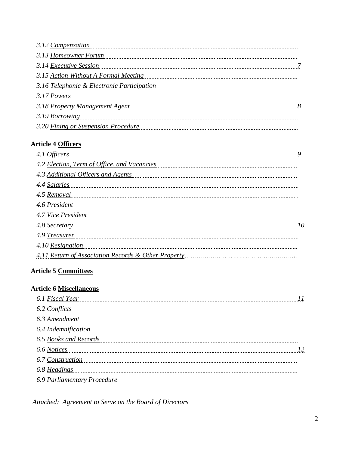| 3.12 Compensation <b>Supersation Compensation</b>                                                              |  |
|----------------------------------------------------------------------------------------------------------------|--|
|                                                                                                                |  |
| 3.14 Executive Session 27                                                                                      |  |
| 3.15 Action Without A Formal Meeting                                                                           |  |
| 3.16 Telephonic & Electronic Participation                                                                     |  |
|                                                                                                                |  |
| 3.18 Property Management Agent manufacturers and the contract of the set of the set of the set of the set of t |  |
|                                                                                                                |  |
| 3.20 Fining or Suspension Procedure                                                                            |  |

# **Article 4 Officers**

| 4.6 President                                                                                                                                                                                                                       |  |
|-------------------------------------------------------------------------------------------------------------------------------------------------------------------------------------------------------------------------------------|--|
| 4.7 Vice President Manual Communication of the Communication of the Communication of the Communication of the Communication of the Communication of the Communication of the Communication of the Communication of the Communi      |  |
|                                                                                                                                                                                                                                     |  |
| 4.9 Treasurer <b>Maria Communication</b> and the set of the set of the set of the set of the set of the set of the set of the set of the set of the set of the set of the set of the set of the set of the set of the set of the se |  |
| 4.10 Resignation <b>Example 2.10</b> Resignation                                                                                                                                                                                    |  |
|                                                                                                                                                                                                                                     |  |

# **Article 5 Committees**

# **Article 6 Miscellaneous**

| 6.1 Fiscal Year 11                                                                                                                                                                                                                  |  |
|-------------------------------------------------------------------------------------------------------------------------------------------------------------------------------------------------------------------------------------|--|
| 6.2 Conflicts example of the contract of the contract of the contract of the contract of the contract of the contract of the contract of the contract of the contract of the contract of the contract of the contract of the c      |  |
| 6.3 Amendment                                                                                                                                                                                                                       |  |
| 6.4 Indemnification entertainment of the state of the state of the state of the state of the state of the state of the state of the state of the state of the state of the state of the state of the state of the state of the      |  |
| 6.5 Books and Records <b>contact and Records</b> contact the contract of the contract of the contract of the contract of the contract of the contract of the contract of the contract of the contract of the contract of the contra |  |
| 6.6 <u>Notices</u> 12                                                                                                                                                                                                               |  |
| 6.7 Construction <b>Construction</b>                                                                                                                                                                                                |  |
| 6.8 Headings                                                                                                                                                                                                                        |  |
| 6.9 Parliamentary Procedure                                                                                                                                                                                                         |  |

*Attached: Agreement to Serve on the Board of Directors*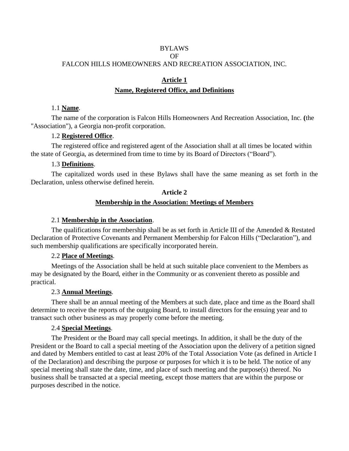### BYLAWS OF FALCON HILLS HOMEOWNERS AND RECREATION ASSOCIATION, INC.

# **Article 1 Name, Registered Office, and Definitions**

#### 1.1 **Name**.

The name of the corporation is Falcon Hills Homeowners And Recreation Association, Inc. **(**the "Association"), a Georgia non-profit corporation.

### 1.2 **Registered Office**.

The registered office and registered agent of the Association shall at all times be located within the state of Georgia, as determined from time to time by its Board of Directors ("Board").

### 1.3 **Definitions**.

The capitalized words used in these Bylaws shall have the same meaning as set forth in the Declaration, unless otherwise defined herein.

### **Article 2**

### **Membership in the Association: Meetings of Members**

### 2.1 **Membership in the Association**.

The qualifications for membership shall be as set forth in Article III of the Amended & Restated Declaration of Protective Covenants and Permanent Membership for Falcon Hills ("Declaration"), and such membership qualifications are specifically incorporated herein.

### 2.2 **Place of Meetings**.

Meetings of the Association shall be held at such suitable place convenient to the Members as may be designated by the Board, either in the Community or as convenient thereto as possible and practical.

### 2.3 **Annual Meetings**.

There shall be an annual meeting of the Members at such date, place and time as the Board shall determine to receive the reports of the outgoing Board, to install directors for the ensuing year and to transact such other business as may properly come before the meeting.

### 2.4 **Special Meetings**.

The President or the Board may call special meetings. In addition, it shall be the duty of the President or the Board to call a special meeting of the Association upon the delivery of a petition signed and dated by Members entitled to cast at least 20% of the Total Association Vote (as defined in Article I of the Declaration) and describing the purpose or purposes for which it is to be held. The notice of any special meeting shall state the date, time, and place of such meeting and the purpose(s) thereof. No business shall be transacted at a special meeting, except those matters that are within the purpose or purposes described in the notice.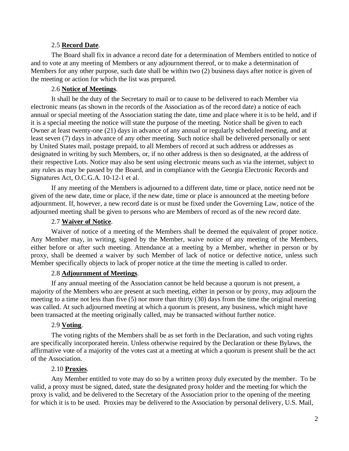#### 2.5 **Record Date**.

The Board shall fix in advance a record date for a determination of Members entitled to notice of and to vote at any meeting of Members or any adjournment thereof, or to make a determination of Members for any other purpose, such date shall be within two (2) business days after notice is given of the meeting or action for which the list was prepared.

### 2.6 **Notice of Meetings**.

It shall be the duty of the Secretary to mail or to cause to be delivered to each Member via electronic means (as shown in the records of the Association as of the record date) a notice of each annual or special meeting of the Association stating the date, time and place where it is to be held, and if it is a special meeting the notice will state the purpose of the meeting. Notice shall be given to each Owner at least twenty-one (21) days in advance of any annual or regularly scheduled meeting, and at least seven (7) days in advance of any other meeting. Such notice shall be delivered personally or sent by United States mail, postage prepaid, to all Members of record at such address or addresses as designated in writing by such Members, or, if no other address is then so designated, at the address of their respective Lots. Notice may also be sent using electronic means such as via the internet, subject to any rules as may be passed by the Board, and in compliance with the Georgia Electronic Records and Signatures Act, O.C.G.A. 10-12-1 et al.

If any meeting of the Members is adjourned to a different date, time or place, notice need not be given of the new date, time or place, if the new date, time or place is announced at the meeting before adjournment. If, however, a new record date is or must be fixed under the Governing Law, notice of the adjourned meeting shall be given to persons who are Members of record as of the new record date.

#### 2.7 **Waiver of Notice**.

Waiver of notice of a meeting of the Members shall be deemed the equivalent of proper notice. Any Member may, in writing, signed by the Member, waive notice of any meeting of the Members, either before or after such meeting. Attendance at a meeting by a Member, whether in person or by proxy, shall be deemed a waiver by such Member of lack of notice or defective notice, unless such Member specifically objects to lack of proper notice at the time the meeting is called to order.

#### 2.8 **Adjournment of Meetings**.

If any annual meeting of the Association cannot be held because a quorum is not present, a majority of the Members who are present at such meeting, either in person or by proxy, may adjourn the meeting to a time not less than five (5) nor more than thirty (30) days from the time the original meeting was called. At such adjourned meeting at which a quorum is present, any business, which might have been transacted at the meeting originally called, may be transacted without further notice.

### 2.9 **Voting**.

The voting rights of the Members shall be as set forth in the Declaration, and such voting rights are specifically incorporated herein. Unless otherwise required by the Declaration or these Bylaws, the affirmative vote of a majority of the votes cast at a meeting at which a quorum is present shall be the act of the Association.

#### 2.10 **Proxies**.

Any Member entitled to vote may do so by a written proxy duly executed by the member. To be valid, a proxy must be signed, dated, state the designated proxy holder and the meeting for which the proxy is valid, and be delivered to the Secretary of the Association prior to the opening of the meeting for which it is to be used. Proxies may be delivered to the Association by personal delivery, U.S. Mail,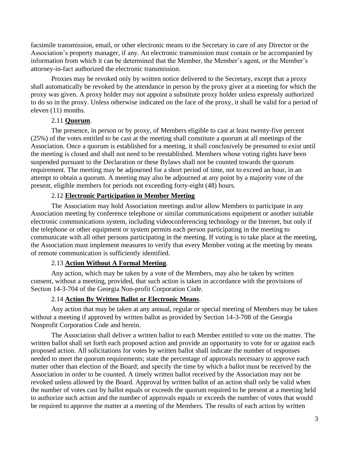facsimile transmission, email, or other electronic means to the Secretary in care of any Director or the Association's property manager, if any. An electronic transmission must contain or be accompanied by information from which it can be determined that the Member, the Member's agent, or the Member's attorney-in-fact authorized the electronic transmission.

Proxies may be revoked only by written notice delivered to the Secretary, except that a proxy shall automatically be revoked by the attendance in person by the proxy giver at a meeting for which the proxy was given. A proxy holder may not appoint a substitute proxy holder unless expressly authorized to do so in the proxy. Unless otherwise indicated on the face of the proxy, it shall be valid for a period of eleven (11) months.

#### 2.11 **Quorum**.

The presence, in person or by proxy, of Members eligible to cast at least twenty-five percent (25%) of the votes entitled to be cast at the meeting shall constitute a quorum at all meetings of the Association. Once a quorum is established for a meeting, it shall conclusively be presumed to exist until the meeting is closed and shall not need to be reestablished. Members whose voting rights have been suspended pursuant to the Declaration or these Bylaws shall not be counted towards the quorum requirement. The meeting may be adjourned for a short period of time, not to exceed an hour, in an attempt to obtain a quorum. A meeting may also be adjourned at any point by a majority vote of the present, eligible members for periods not exceeding forty-eight (48) hours.

### 2.12 **Electronic Participation in Member Meeting**

The Association may hold Association meetings and/or allow Members to participate in any Association meeting by conference telephone or similar communications equipment or another suitable electronic communications system, including videoconferencing technology or the Internet, but only if the telephone or other equipment or system permits each person participating in the meeting to communicate with all other persons participating in the meeting. If voting is to take place at the meeting, the Association must implement measures to verify that every Member voting at the meeting by means of remote communication is sufficiently identified.

### 2.13 **Action Without A Formal Meeting**.

 Any action, which may be taken by a vote of the Members, may also be taken by written consent, without a meeting, provided, that such action is taken in accordance with the provisions of Section 14-3-704 of the Georgia Non-profit Corporation Code.

### 2.14 **Action By Written Ballot or Electronic Means**.

Any action that may be taken at any annual, regular or special meeting of Members may be taken without a meeting if approved by written ballot as provided by Section 14-3-708 of the Georgia Nonprofit Corporation Code and herein.

The Association shall deliver a written ballot to each Member entitled to vote on the matter. The written ballot shall set forth each proposed action and provide an opportunity to vote for or against each proposed action. All solicitations for votes by written ballot shall indicate the number of responses needed to meet the quorum requirements; state the percentage of approvals necessary to approve each matter other than election of the Board; and specify the time by which a ballot must be received by the Association in order to be counted. A timely written ballot received by the Association may not be revoked unless allowed by the Board. Approval by written ballot of an action shall only be valid when the number of votes cast by ballot equals or exceeds the quorum required to be present at a meeting held to authorize such action and the number of approvals equals or exceeds the number of votes that would be required to approve the matter at a meeting of the Members. The results of each action by written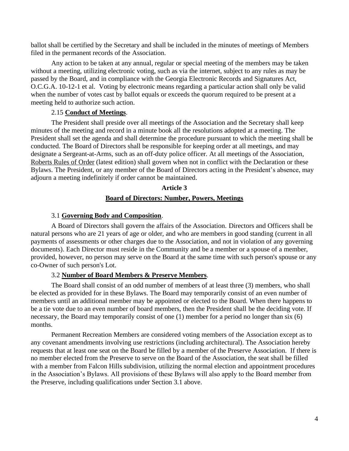ballot shall be certified by the Secretary and shall be included in the minutes of meetings of Members filed in the permanent records of the Association.

Any action to be taken at any annual, regular or special meeting of the members may be taken without a meeting, utilizing electronic voting, such as via the internet, subject to any rules as may be passed by the Board, and in compliance with the Georgia Electronic Records and Signatures Act, O.C.G.A. 10-12-1 et al. Voting by electronic means regarding a particular action shall only be valid when the number of votes cast by ballot equals or exceeds the quorum required to be present at a meeting held to authorize such action.

### 2.15 **Conduct of Meetings**.

The President shall preside over all meetings of the Association and the Secretary shall keep minutes of the meeting and record in a minute book all the resolutions adopted at a meeting. The President shall set the agenda and shall determine the procedure pursuant to which the meeting shall be conducted. The Board of Directors shall be responsible for keeping order at all meetings, and may designate a Sergeant-at-Arms, such as an off-duty police officer. At all meetings of the Association, Roberts Rules of Order (latest edition) shall govern when not in conflict with the Declaration or these Bylaws. The President, or any member of the Board of Directors acting in the President's absence, may adjourn a meeting indefinitely if order cannot be maintained.

### **Article 3**

# **Board of Directors: Number, Powers, Meetings**

# 3.1 **Governing Body and Composition**.

A Board of Directors shall govern the affairs of the Association. Directors and Officers shall be natural persons who are 21 years of age or older, and who are members in good standing (current in all payments of assessments or other charges due to the Association, and not in violation of any governing documents). Each Director must reside in the Community and be a member or a spouse of a member, provided, however, no person may serve on the Board at the same time with such person's spouse or any co-Owner of such person's Lot.

# 3.2 **Number of Board Members & Preserve Members**.

The Board shall consist of an odd number of members of at least three (3) members, who shall be elected as provided for in these Bylaws. The Board may temporarily consist of an even number of members until an additional member may be appointed or elected to the Board. When there happens to be a tie vote due to an even number of board members, then the President shall be the deciding vote. If necessary, the Board may temporarily consist of one (1) member for a period no longer than six (6) months.

Permanent Recreation Members are considered voting members of the Association except as to any covenant amendments involving use restrictions (including architectural). The Association hereby requests that at least one seat on the Board be filled by a member of the Preserve Association. If there is no member elected from the Preserve to serve on the Board of the Association, the seat shall be filled with a member from Falcon Hills subdivision, utilizing the normal election and appointment procedures in the Association's Bylaws. All provisions of these Bylaws will also apply to the Board member from the Preserve, including qualifications under Section 3.1 above.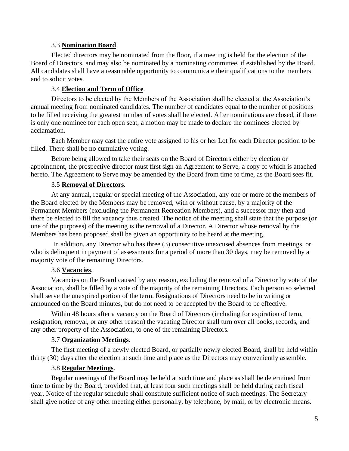#### 3.3 **Nomination Board**.

Elected directors may be nominated from the floor, if a meeting is held for the election of the Board of Directors, and may also be nominated by a nominating committee, if established by the Board. All candidates shall have a reasonable opportunity to communicate their qualifications to the members and to solicit votes.

### 3.4 **Election and Term of Office**.

Directors to be elected by the Members of the Association shall be elected at the Association's annual meeting from nominated candidates. The number of candidates equal to the number of positions to be filled receiving the greatest number of votes shall be elected. After nominations are closed, if there is only one nominee for each open seat, a motion may be made to declare the nominees elected by acclamation.

Each Member may cast the entire vote assigned to his or her Lot for each Director position to be filled. There shall be no cumulative voting.

Before being allowed to take their seats on the Board of Directors either by election or appointment, the prospective director must first sign an Agreement to Serve, a copy of which is attached hereto. The Agreement to Serve may be amended by the Board from time to time, as the Board sees fit.

#### 3.5 **Removal of Directors**.

At any annual, regular or special meeting of the Association, any one or more of the members of the Board elected by the Members may be removed, with or without cause, by a majority of the Permanent Members (excluding the Permanent Recreation Members), and a successor may then and there be elected to fill the vacancy thus created. The notice of the meeting shall state that the purpose (or one of the purposes) of the meeting is the removal of a Director. A Director whose removal by the Members has been proposed shall be given an opportunity to be heard at the meeting.

In addition, any Director who has three (3) consecutive unexcused absences from meetings, or who is delinquent in payment of assessments for a period of more than 30 days, may be removed by a majority vote of the remaining Directors.

### 3.6 **Vacancies**.

Vacancies on the Board caused by any reason, excluding the removal of a Director by vote of the Association, shall be filled by a vote of the majority of the remaining Directors. Each person so selected shall serve the unexpired portion of the term. Resignations of Directors need to be in writing or announced on the Board minutes, but do not need to be accepted by the Board to be effective.

Within 48 hours after a vacancy on the Board of Directors (including for expiration of term, resignation, removal, or any other reason) the vacating Director shall turn over all books, records, and any other property of the Association, to one of the remaining Directors.

### 3.7 **Organization Meetings**.

The first meeting of a newly elected Board, or partially newly elected Board, shall be held within thirty (30) days after the election at such time and place as the Directors may conveniently assemble.

#### 3.8 **Regular Meetings**.

Regular meetings of the Board may be held at such time and place as shall be determined from time to time by the Board, provided that, at least four such meetings shall be held during each fiscal year. Notice of the regular schedule shall constitute sufficient notice of such meetings. The Secretary shall give notice of any other meeting either personally, by telephone, by mail, or by electronic means.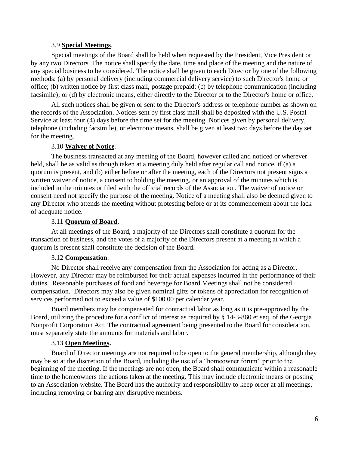#### 3.9 **Special Meetings**.

Special meetings of the Board shall be held when requested by the President, Vice President or by any two Directors. The notice shall specify the date, time and place of the meeting and the nature of any special business to be considered. The notice shall be given to each Director by one of the following methods: (a) by personal delivery (including commercial delivery service) to such Director's home or office; (b) written notice by first class mail, postage prepaid; (c) by telephone communication (including facsimile); or (d) by electronic means, either directly to the Director or to the Director's home or office.

All such notices shall be given or sent to the Director's address or telephone number as shown on the records of the Association. Notices sent by first class mail shall be deposited with the U.S. Postal Service at least four (4) days before the time set for the meeting. Notices given by personal delivery, telephone (including facsimile), or electronic means, shall be given at least two days before the day set for the meeting.

### 3.10 **Waiver of Notice**.

The business transacted at any meeting of the Board, however called and noticed or wherever held, shall be as valid as though taken at a meeting duly held after regular call and notice, if (a) a quorum is present, and (b) either before or after the meeting, each of the Directors not present signs a written waiver of notice, a consent to holding the meeting, or an approval of the minutes which is included in the minutes or filed with the official records of the Association. The waiver of notice or consent need not specify the purpose of the meeting. Notice of a meeting shall also be deemed given to any Director who attends the meeting without protesting before or at its commencement about the lack of adequate notice.

### 3.11 **Quorum of Board**.

At all meetings of the Board, a majority of the Directors shall constitute a quorum for the transaction of business, and the votes of a majority of the Directors present at a meeting at which a quorum is present shall constitute the decision of the Board.

### 3.12 **Compensation**.

No Director shall receive any compensation from the Association for acting as a Director. However, any Director may be reimbursed for their actual expenses incurred in the performance of their duties. Reasonable purchases of food and beverage for Board Meetings shall not be considered compensation. Directors may also be given nominal gifts or tokens of appreciation for recognition of services performed not to exceed a value of \$100.00 per calendar year.

Board members may be compensated for contractual labor as long as it is pre-approved by the Board, utilizing the procedure for a conflict of interest as required by § 14-3-860 et seq. of the Georgia Nonprofit Corporation Act. The contractual agreement being presented to the Board for consideration, must separately state the amounts for materials and labor.

### 3.13 **Open Meetings.**

Board of Director meetings are not required to be open to the general membership, although they may be so at the discretion of the Board, including the use of a "homeowner forum" prior to the beginning of the meeting. If the meetings are not open, the Board shall communicate within a reasonable time to the homeowners the actions taken at the meeting. This may include electronic means or posting to an Association website. The Board has the authority and responsibility to keep order at all meetings, including removing or barring any disruptive members.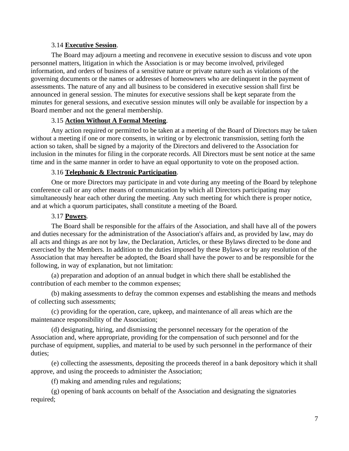### 3.14 **Executive Session**.

The Board may adjourn a meeting and reconvene in executive session to discuss and vote upon personnel matters, litigation in which the Association is or may become involved, privileged information, and orders of business of a sensitive nature or private nature such as violations of the governing documents or the names or addresses of homeowners who are delinquent in the payment of assessments. The nature of any and all business to be considered in executive session shall first be announced in general session. The minutes for executive sessions shall be kept separate from the minutes for general sessions, and executive session minutes will only be available for inspection by a Board member and not the general membership.

# 3.15 **Action Without A Formal Meeting**.

Any action required or permitted to be taken at a meeting of the Board of Directors may be taken without a meeting if one or more consents, in writing or by electronic transmission, setting forth the action so taken, shall be signed by a majority of the Directors and delivered to the Association for inclusion in the minutes for filing in the corporate records. All Directors must be sent notice at the same time and in the same manner in order to have an equal opportunity to vote on the proposed action.

# 3.16 **Telephonic & Electronic Participation**.

One or more Directors may participate in and vote during any meeting of the Board by telephone conference call or any other means of communication by which all Directors participating may simultaneously hear each other during the meeting. Any such meeting for which there is proper notice, and at which a quorum participates, shall constitute a meeting of the Board.

# 3.17 **Powers**.

The Board shall be responsible for the affairs of the Association, and shall have all of the powers and duties necessary for the administration of the Association's affairs and, as provided by law, may do all acts and things as are not by law, the Declaration, Articles, or these Bylaws directed to be done and exercised by the Members. In addition to the duties imposed by these Bylaws or by any resolution of the Association that may hereafter be adopted, the Board shall have the power to and be responsible for the following, in way of explanation, but not limitation:

(a) preparation and adoption of an annual budget in which there shall be established the contribution of each member to the common expenses;

(b) making assessments to defray the common expenses and establishing the means and methods of collecting such assessments;

(c) providing for the operation, care, upkeep, and maintenance of all areas which are the maintenance responsibility of the Association;

(d) designating, hiring, and dismissing the personnel necessary for the operation of the Association and, where appropriate, providing for the compensation of such personnel and for the purchase of equipment, supplies, and material to be used by such personnel in the performance of their duties;

(e) collecting the assessments, depositing the proceeds thereof in a bank depository which it shall approve, and using the proceeds to administer the Association;

(f) making and amending rules and regulations;

(g) opening of bank accounts on behalf of the Association and designating the signatories required;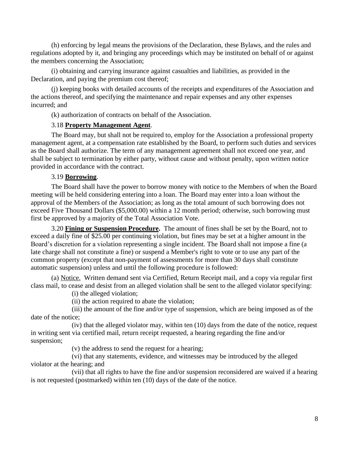(h) enforcing by legal means the provisions of the Declaration, these Bylaws, and the rules and regulations adopted by it, and bringing any proceedings which may be instituted on behalf of or against the members concerning the Association;

(i) obtaining and carrying insurance against casualties and liabilities, as provided in the Declaration, and paying the premium cost thereof;

(j) keeping books with detailed accounts of the receipts and expenditures of the Association and the actions thereof, and specifying the maintenance and repair expenses and any other expenses incurred; and

(k) authorization of contracts on behalf of the Association.

# 3.18 **Property Management Agent**.

The Board may, but shall not be required to, employ for the Association a professional property management agent, at a compensation rate established by the Board, to perform such duties and services as the Board shall authorize. The term of any management agreement shall not exceed one year, and shall be subject to termination by either party, without cause and without penalty, upon written notice provided in accordance with the contract.

### 3.19 **Borrowing**.

The Board shall have the power to borrow money with notice to the Members of when the Board meeting will be held considering entering into a loan. The Board may enter into a loan without the approval of the Members of the Association; as long as the total amount of such borrowing does not exceed Five Thousand Dollars (\$5,000.00) within a 12 month period; otherwise, such borrowing must first be approved by a majority of the Total Association Vote.

3.20 **Fining or Suspension Procedure.** The amount of fines shall be set by the Board, not to exceed a daily fine of \$25.00 per continuing violation, but fines may be set at a higher amount in the Board's discretion for a violation representing a single incident. The Board shall not impose a fine (a late charge shall not constitute a fine) or suspend a Member's right to vote or to use any part of the common property (except that non-payment of assessments for more than 30 days shall constitute automatic suspension) unless and until the following procedure is followed:

(a) Notice. Written demand sent via Certified, Return Receipt mail, and a copy via regular first class mail, to cease and desist from an alleged violation shall be sent to the alleged violator specifying:

(i) the alleged violation;

(ii) the action required to abate the violation;

(iii) the amount of the fine and/or type of suspension, which are being imposed as of the date of the notice;

(iv) that the alleged violator may, within ten (10) days from the date of the notice, request in writing sent via certified mail, return receipt requested, a hearing regarding the fine and/or suspension;

(v) the address to send the request for a hearing;

(vi) that any statements, evidence, and witnesses may be introduced by the alleged violator at the hearing; and

(vii) that all rights to have the fine and/or suspension reconsidered are waived if a hearing is not requested (postmarked) within ten (10) days of the date of the notice.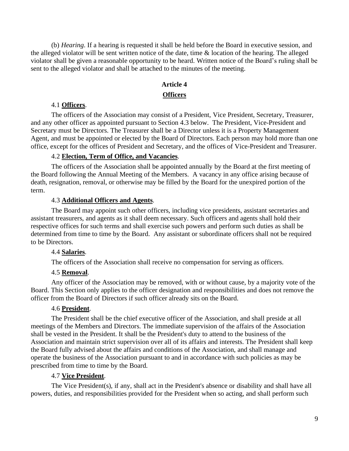(b) *Hearing*. If a hearing is requested it shall be held before the Board in executive session, and the alleged violator will be sent written notice of the date, time & location of the hearing. The alleged violator shall be given a reasonable opportunity to be heard. Written notice of the Board's ruling shall be sent to the alleged violator and shall be attached to the minutes of the meeting.

# **Article 4 Officers**

#### 4.1 **Officers**.

The officers of the Association may consist of a President, Vice President, Secretary, Treasurer, and any other officer as appointed pursuant to Section 4.3 below. The President, Vice-President and Secretary must be Directors. The Treasurer shall be a Director unless it is a Property Management Agent, and must be appointed or elected by the Board of Directors. Each person may hold more than one office, except for the offices of President and Secretary, and the offices of Vice-President and Treasurer.

### 4.2 **Election, Term of Office, and Vacancies**.

The officers of the Association shall be appointed annually by the Board at the first meeting of the Board following the Annual Meeting of the Members. A vacancy in any office arising because of death, resignation, removal, or otherwise may be filled by the Board for the unexpired portion of the term.

#### 4.3 **Additional Officers and Agents**.

The Board may appoint such other officers, including vice presidents, assistant secretaries and assistant treasurers, and agents as it shall deem necessary. Such officers and agents shall hold their respective offices for such terms and shall exercise such powers and perform such duties as shall be determined from time to time by the Board. Any assistant or subordinate officers shall not be required to be Directors.

#### 4.4 **Salaries**.

The officers of the Association shall receive no compensation for serving as officers.

#### 4.5 **Removal**.

Any officer of the Association may be removed, with or without cause, by a majority vote of the Board. This Section only applies to the officer designation and responsibilities and does not remove the officer from the Board of Directors if such officer already sits on the Board.

#### 4.6 **President**.

The President shall be the chief executive officer of the Association, and shall preside at all meetings of the Members and Directors. The immediate supervision of the affairs of the Association shall be vested in the President. It shall be the President's duty to attend to the business of the Association and maintain strict supervision over all of its affairs and interests. The President shall keep the Board fully advised about the affairs and conditions of the Association, and shall manage and operate the business of the Association pursuant to and in accordance with such policies as may be prescribed from time to time by the Board.

# 4.7 **Vice President**.

The Vice President(s), if any, shall act in the President's absence or disability and shall have all powers, duties, and responsibilities provided for the President when so acting, and shall perform such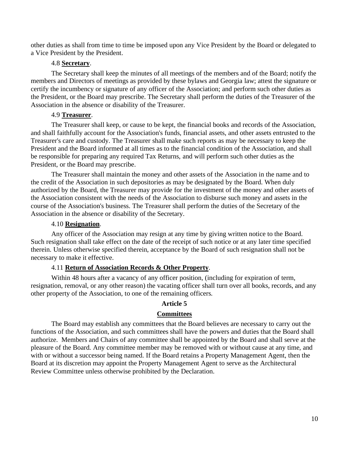other duties as shall from time to time be imposed upon any Vice President by the Board or delegated to a Vice President by the President.

### 4.8 **Secretary**.

The Secretary shall keep the minutes of all meetings of the members and of the Board; notify the members and Directors of meetings as provided by these bylaws and Georgia law; attest the signature or certify the incumbency or signature of any officer of the Association; and perform such other duties as the President, or the Board may prescribe. The Secretary shall perform the duties of the Treasurer of the Association in the absence or disability of the Treasurer.

### 4.9 **Treasurer**.

The Treasurer shall keep, or cause to be kept, the financial books and records of the Association, and shall faithfully account for the Association's funds, financial assets, and other assets entrusted to the Treasurer's care and custody. The Treasurer shall make such reports as may be necessary to keep the President and the Board informed at all times as to the financial condition of the Association, and shall be responsible for preparing any required Tax Returns, and will perform such other duties as the President, or the Board may prescribe.

The Treasurer shall maintain the money and other assets of the Association in the name and to the credit of the Association in such depositories as may be designated by the Board. When duly authorized by the Board, the Treasurer may provide for the investment of the money and other assets of the Association consistent with the needs of the Association to disburse such money and assets in the course of the Association's business. The Treasurer shall perform the duties of the Secretary of the Association in the absence or disability of the Secretary.

### 4.10 **Resignation**.

Any officer of the Association may resign at any time by giving written notice to the Board. Such resignation shall take effect on the date of the receipt of such notice or at any later time specified therein. Unless otherwise specified therein, acceptance by the Board of such resignation shall not be necessary to make it effective.

### 4.11 **Return of Association Records & Other Property**.

Within 48 hours after a vacancy of any officer position, (including for expiration of term, resignation, removal, or any other reason) the vacating officer shall turn over all books, records, and any other property of the Association, to one of the remaining officers.

# **Article 5**

### **Committees**

The Board may establish any committees that the Board believes are necessary to carry out the functions of the Association, and such committees shall have the powers and duties that the Board shall authorize. Members and Chairs of any committee shall be appointed by the Board and shall serve at the pleasure of the Board. Any committee member may be removed with or without cause at any time, and with or without a successor being named. If the Board retains a Property Management Agent, then the Board at its discretion may appoint the Property Management Agent to serve as the Architectural Review Committee unless otherwise prohibited by the Declaration.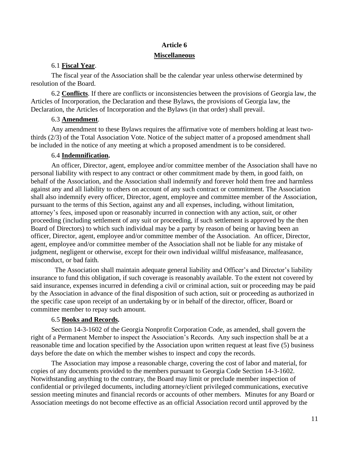### **Article 6**

#### **Miscellaneous**

## 6.1 **Fiscal Year**.

The fiscal year of the Association shall be the calendar year unless otherwise determined by resolution of the Board.

6.2 **Conflicts**. If there are conflicts or inconsistencies between the provisions of Georgia law, the Articles of Incorporation, the Declaration and these Bylaws, the provisions of Georgia law, the Declaration, the Articles of Incorporation and the Bylaws (in that order) shall prevail.

### 6.3 **Amendment**.

Any amendment to these Bylaws requires the affirmative vote of members holding at least twothirds (2/3) of the Total Association Vote. Notice of the subject matter of a proposed amendment shall be included in the notice of any meeting at which a proposed amendment is to be considered.

### 6.4 **Indemnification.**

An officer, Director, agent, employee and/or committee member of the Association shall have no personal liability with respect to any contract or other commitment made by them, in good faith, on behalf of the Association, and the Association shall indemnify and forever hold them free and harmless against any and all liability to others on account of any such contract or commitment. The Association shall also indemnify every officer, Director, agent, employee and committee member of the Association, pursuant to the terms of this Section, against any and all expenses, including, without limitation, attorney's fees, imposed upon or reasonably incurred in connection with any action, suit, or other proceeding (including settlement of any suit or proceeding, if such settlement is approved by the then Board of Directors) to which such individual may be a party by reason of being or having been an officer, Director, agent, employee and/or committee member of the Association. An officer, Director, agent, employee and/or committee member of the Association shall not be liable for any mistake of judgment, negligent or otherwise, except for their own individual willful misfeasance, malfeasance, misconduct, or bad faith.

 The Association shall maintain adequate general liability and Officer's and Director's liability insurance to fund this obligation, if such coverage is reasonably available. To the extent not covered by said insurance, expenses incurred in defending a civil or criminal action, suit or proceeding may be paid by the Association in advance of the final disposition of such action, suit or proceeding as authorized in the specific case upon receipt of an undertaking by or in behalf of the director, officer, Board or committee member to repay such amount.

# 6.5 **Books and Records.**

Section 14-3-1602 of the Georgia Nonprofit Corporation Code, as amended, shall govern the right of a Permanent Member to inspect the Association's Records. Any such inspection shall be at a reasonable time and location specified by the Association upon written request at least five (5) business days before the date on which the member wishes to inspect and copy the records.

The Association may impose a reasonable charge, covering the cost of labor and material, for copies of any documents provided to the members pursuant to Georgia Code Section 14-3-1602. Notwithstanding anything to the contrary, the Board may limit or preclude member inspection of confidential or privileged documents, including attorney/client privileged communications, executive session meeting minutes and financial records or accounts of other members. Minutes for any Board or Association meetings do not become effective as an official Association record until approved by the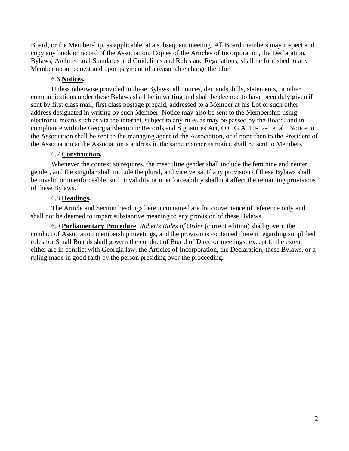Board, or the Membership, as applicable, at a subsequent meeting. All Board members may inspect and copy any book or record of the Association. Copies of the Articles of Incorporation, the Declaration, Bylaws, Architectural Standards and Guidelines and Rules and Regulations, shall be furnished to any Member upon request and upon payment of a reasonable charge therefor.

# 6.6 **Notices.**

Unless otherwise provided in these Bylaws, all notices, demands, bills, statements, or other communications under these Bylaws shall be in writing and shall be deemed to have been duly given if sent by first class mail, first class postage prepaid, addressed to a Member at his Lot or such other address designated in writing by such Member. Notice may also be sent to the Membership using electronic means such as via the internet, subject to any rules as may be passed by the Board, and in compliance with the Georgia Electronic Records and Signatures Act, O.C.G.A. 10-12-1 et al. Notice to the Association shall be sent to the managing agent of the Association, or if none then to the President of the Association at the Association's address in the same manner as notice shall be sent to Members.

# 6.7 **Construction.**

Whenever the context so requires, the masculine gender shall include the feminine and neuter gender, and the singular shall include the plural, and vice versa. If any provision of these Bylaws shall be invalid or unenforceable, such invalidity or unenforceability shall not affect the remaining provisions of these Bylaws.

# 6.8 **Headings.**

The Article and Section headings herein contained are for convenience of reference only and shall not be deemed to impart substantive meaning to any provision of these Bylaws.

6.9 **Parliamentary Procedure**. *Roberts Rules of Order* (current edition) shall govern the conduct of Association membership meetings, and the provisions contained therein regarding simplified rules for Small Boards shall govern the conduct of Board of Director meetings; except to the extent either are in conflict with Georgia law, the Articles of Incorporation, the Declaration, these Bylaws, or a ruling made in good faith by the person presiding over the proceeding.